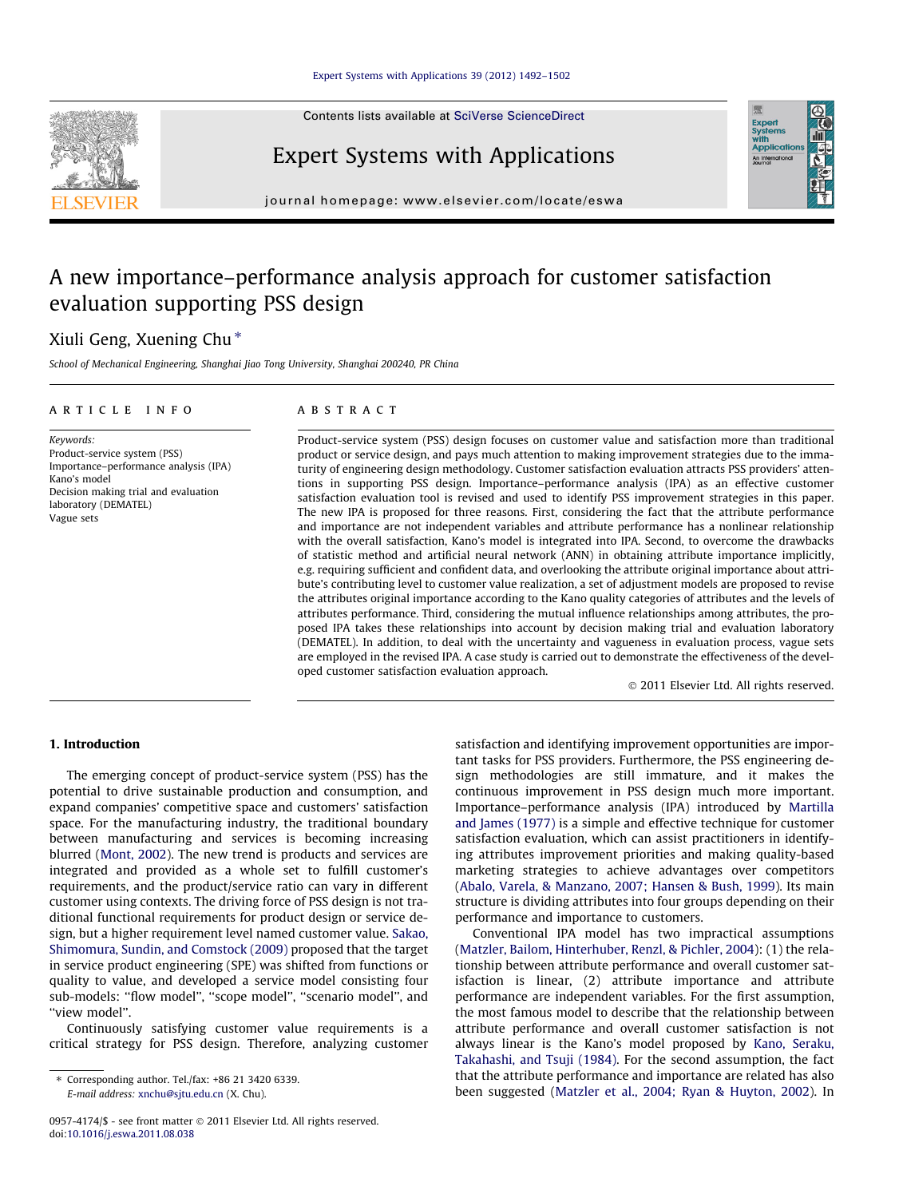Contents lists available at [SciVerse ScienceDirect](http://www.sciencedirect.com/science/journal/09574174)

## Expert Systems with Applications

journal homepage: [www.elsevier.com/locate/eswa](http://www.elsevier.com/locate/eswa)

# A new importance–performance analysis approach for customer satisfaction evaluation supporting PSS design

### Xiuli Geng, Xuening Chu<sup>\*</sup>

School of Mechanical Engineering, Shanghai Jiao Tong University, Shanghai 200240, PR China

#### article info

Keywords: Product-service system (PSS) Importance–performance analysis (IPA) Kano's model Decision making trial and evaluation laboratory (DEMATEL) Vague sets

#### **ABSTRACT**

Product-service system (PSS) design focuses on customer value and satisfaction more than traditional product or service design, and pays much attention to making improvement strategies due to the immaturity of engineering design methodology. Customer satisfaction evaluation attracts PSS providers' attentions in supporting PSS design. Importance–performance analysis (IPA) as an effective customer satisfaction evaluation tool is revised and used to identify PSS improvement strategies in this paper. The new IPA is proposed for three reasons. First, considering the fact that the attribute performance and importance are not independent variables and attribute performance has a nonlinear relationship with the overall satisfaction, Kano's model is integrated into IPA. Second, to overcome the drawbacks of statistic method and artificial neural network (ANN) in obtaining attribute importance implicitly, e.g. requiring sufficient and confident data, and overlooking the attribute original importance about attribute's contributing level to customer value realization, a set of adjustment models are proposed to revise the attributes original importance according to the Kano quality categories of attributes and the levels of attributes performance. Third, considering the mutual influence relationships among attributes, the proposed IPA takes these relationships into account by decision making trial and evaluation laboratory (DEMATEL). In addition, to deal with the uncertainty and vagueness in evaluation process, vague sets are employed in the revised IPA. A case study is carried out to demonstrate the effectiveness of the developed customer satisfaction evaluation approach.

- 2011 Elsevier Ltd. All rights reserved.

#### 1. Introduction

The emerging concept of product-service system (PSS) has the potential to drive sustainable production and consumption, and expand companies' competitive space and customers' satisfaction space. For the manufacturing industry, the traditional boundary between manufacturing and services is becoming increasing blurred ([Mont, 2002](#page--1-0)). The new trend is products and services are integrated and provided as a whole set to fulfill customer's requirements, and the product/service ratio can vary in different customer using contexts. The driving force of PSS design is not traditional functional requirements for product design or service design, but a higher requirement level named customer value. [Sakao,](#page--1-0) [Shimomura, Sundin, and Comstock \(2009\)](#page--1-0) proposed that the target in service product engineering (SPE) was shifted from functions or quality to value, and developed a service model consisting four sub-models: ''flow model'', ''scope model'', ''scenario model'', and "view model".

Continuously satisfying customer value requirements is a critical strategy for PSS design. Therefore, analyzing customer satisfaction and identifying improvement opportunities are important tasks for PSS providers. Furthermore, the PSS engineering design methodologies are still immature, and it makes the continuous improvement in PSS design much more important. Importance–performance analysis (IPA) introduced by [Martilla](#page--1-0) [and James \(1977\)](#page--1-0) is a simple and effective technique for customer satisfaction evaluation, which can assist practitioners in identifying attributes improvement priorities and making quality-based marketing strategies to achieve advantages over competitors ([Abalo, Varela, & Manzano, 2007; Hansen & Bush, 1999\)](#page--1-0). Its main structure is dividing attributes into four groups depending on their performance and importance to customers.

Conventional IPA model has two impractical assumptions ([Matzler, Bailom, Hinterhuber, Renzl, & Pichler, 2004\)](#page--1-0): (1) the relationship between attribute performance and overall customer satisfaction is linear, (2) attribute importance and attribute performance are independent variables. For the first assumption, the most famous model to describe that the relationship between attribute performance and overall customer satisfaction is not always linear is the Kano's model proposed by [Kano, Seraku,](#page--1-0) [Takahashi, and Tsuji \(1984\).](#page--1-0) For the second assumption, the fact that the attribute performance and importance are related has also been suggested [\(Matzler et al., 2004; Ryan & Huyton, 2002\)](#page--1-0). In





<sup>⇑</sup> Corresponding author. Tel./fax: +86 21 3420 6339. E-mail address: [xnchu@sjtu.edu.cn](mailto:xnchu@sjtu.edu.cn) (X. Chu).

<sup>0957-4174/\$ -</sup> see front matter © 2011 Elsevier Ltd. All rights reserved. doi:[10.1016/j.eswa.2011.08.038](http://dx.doi.org/10.1016/j.eswa.2011.08.038)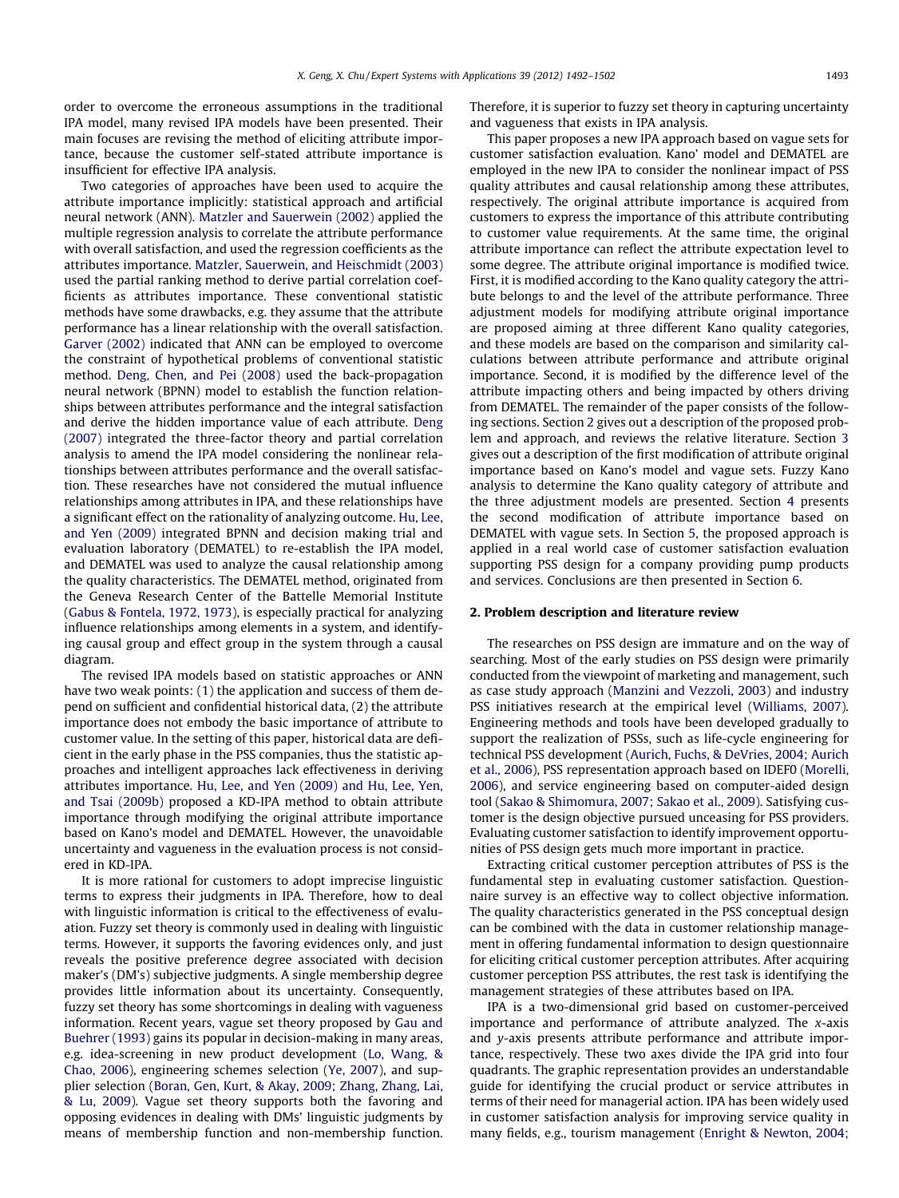order to overcome the erroneous assumptions in the traditional IPA model, many revised IPA models have been presented. Their main focuses are revising the method of eliciting attribute importance, because the customer self-stated attribute importance is insufficient for effective IPA analysis.

Two categories of approaches have been used to acquire the attribute importance implicitly: statistical approach and artificial neural network (ANN). [Matzler and Sauerwein \(2002\)](#page--1-0) applied the multiple regression analysis to correlate the attribute performance with overall satisfaction, and used the regression coefficients as the attributes importance. [Matzler, Sauerwein, and Heischmidt \(2003\)](#page--1-0) used the partial ranking method to derive partial correlation coefficients as attributes importance. These conventional statistic methods have some drawbacks, e.g. they assume that the attribute performance has a linear relationship with the overall satisfaction. [Garver \(2002\)](#page--1-0) indicated that ANN can be employed to overcome the constraint of hypothetical problems of conventional statistic method. [Deng, Chen, and Pei \(2008\)](#page--1-0) used the back-propagation neural network (BPNN) model to establish the function relationships between attributes performance and the integral satisfaction and derive the hidden importance value of each attribute. [Deng](#page--1-0) [\(2007\)](#page--1-0) integrated the three-factor theory and partial correlation analysis to amend the IPA model considering the nonlinear relationships between attributes performance and the overall satisfaction. These researches have not considered the mutual influence relationships among attributes in IPA, and these relationships have a significant effect on the rationality of analyzing outcome. [Hu, Lee,](#page--1-0) [and Yen \(2009\)](#page--1-0) integrated BPNN and decision making trial and evaluation laboratory (DEMATEL) to re-establish the IPA model, and DEMATEL was used to analyze the causal relationship among the quality characteristics. The DEMATEL method, originated from the Geneva Research Center of the Battelle Memorial Institute ([Gabus & Fontela, 1972, 1973\)](#page--1-0), is especially practical for analyzing influence relationships among elements in a system, and identifying causal group and effect group in the system through a causal diagram.

The revised IPA models based on statistic approaches or ANN have two weak points: (1) the application and success of them depend on sufficient and confidential historical data, (2) the attribute importance does not embody the basic importance of attribute to customer value. In the setting of this paper, historical data are deficient in the early phase in the PSS companies, thus the statistic approaches and intelligent approaches lack effectiveness in deriving attributes importance. [Hu, Lee, and Yen \(2009\) and Hu, Lee, Yen,](#page--1-0) [and Tsai \(2009b\)](#page--1-0) proposed a KD-IPA method to obtain attribute importance through modifying the original attribute importance based on Kano's model and DEMATEL. However, the unavoidable uncertainty and vagueness in the evaluation process is not considered in KD-IPA.

It is more rational for customers to adopt imprecise linguistic terms to express their judgments in IPA. Therefore, how to deal with linguistic information is critical to the effectiveness of evaluation. Fuzzy set theory is commonly used in dealing with linguistic terms. However, it supports the favoring evidences only, and just reveals the positive preference degree associated with decision maker's (DM's) subjective judgments. A single membership degree provides little information about its uncertainty. Consequently, fuzzy set theory has some shortcomings in dealing with vagueness information. Recent years, vague set theory proposed by [Gau and](#page--1-0) [Buehrer \(1993\)](#page--1-0) gains its popular in decision-making in many areas, e.g. idea-screening in new product development [\(Lo, Wang, &](#page--1-0) [Chao, 2006](#page--1-0)), engineering schemes selection ([Ye, 2007](#page--1-0)), and supplier selection ([Boran, Gen, Kurt, & Akay, 2009; Zhang, Zhang, Lai,](#page--1-0) [& Lu, 2009\)](#page--1-0). Vague set theory supports both the favoring and opposing evidences in dealing with DMs' linguistic judgments by means of membership function and non-membership function. Therefore, it is superior to fuzzy set theory in capturing uncertainty and vagueness that exists in IPA analysis.

This paper proposes a new IPA approach based on vague sets for customer satisfaction evaluation. Kano' model and DEMATEL are employed in the new IPA to consider the nonlinear impact of PSS quality attributes and causal relationship among these attributes, respectively. The original attribute importance is acquired from customers to express the importance of this attribute contributing to customer value requirements. At the same time, the original attribute importance can reflect the attribute expectation level to some degree. The attribute original importance is modified twice. First, it is modified according to the Kano quality category the attribute belongs to and the level of the attribute performance. Three adjustment models for modifying attribute original importance are proposed aiming at three different Kano quality categories, and these models are based on the comparison and similarity calculations between attribute performance and attribute original importance. Second, it is modified by the difference level of the attribute impacting others and being impacted by others driving from DEMATEL. The remainder of the paper consists of the following sections. Section 2 gives out a description of the proposed problem and approach, and reviews the relative literature. Section [3](#page--1-0) gives out a description of the first modification of attribute original importance based on Kano's model and vague sets. Fuzzy Kano analysis to determine the Kano quality category of attribute and the three adjustment models are presented. Section [4](#page--1-0) presents the second modification of attribute importance based on DEMATEL with vague sets. In Section [5](#page--1-0), the proposed approach is applied in a real world case of customer satisfaction evaluation supporting PSS design for a company providing pump products and services. Conclusions are then presented in Section [6.](#page--1-0)

#### 2. Problem description and literature review

The researches on PSS design are immature and on the way of searching. Most of the early studies on PSS design were primarily conducted from the viewpoint of marketing and management, such as case study approach [\(Manzini and Vezzoli, 2003\)](#page--1-0) and industry PSS initiatives research at the empirical level ([Williams, 2007\)](#page--1-0). Engineering methods and tools have been developed gradually to support the realization of PSSs, such as life-cycle engineering for technical PSS development ([Aurich, Fuchs, & DeVries, 2004; Aurich](#page--1-0) [et al., 2006\)](#page--1-0), PSS representation approach based on IDEF0 [\(Morelli,](#page--1-0) [2006](#page--1-0)), and service engineering based on computer-aided design tool [\(Sakao & Shimomura, 2007; Sakao et al., 2009\)](#page--1-0). Satisfying customer is the design objective pursued unceasing for PSS providers. Evaluating customer satisfaction to identify improvement opportunities of PSS design gets much more important in practice.

Extracting critical customer perception attributes of PSS is the fundamental step in evaluating customer satisfaction. Questionnaire survey is an effective way to collect objective information. The quality characteristics generated in the PSS conceptual design can be combined with the data in customer relationship management in offering fundamental information to design questionnaire for eliciting critical customer perception attributes. After acquiring customer perception PSS attributes, the rest task is identifying the management strategies of these attributes based on IPA.

IPA is a two-dimensional grid based on customer-perceived importance and performance of attribute analyzed. The x-axis and y-axis presents attribute performance and attribute importance, respectively. These two axes divide the IPA grid into four quadrants. The graphic representation provides an understandable guide for identifying the crucial product or service attributes in terms of their need for managerial action. IPA has been widely used in customer satisfaction analysis for improving service quality in many fields, e.g., tourism management ([Enright & Newton, 2004;](#page--1-0)